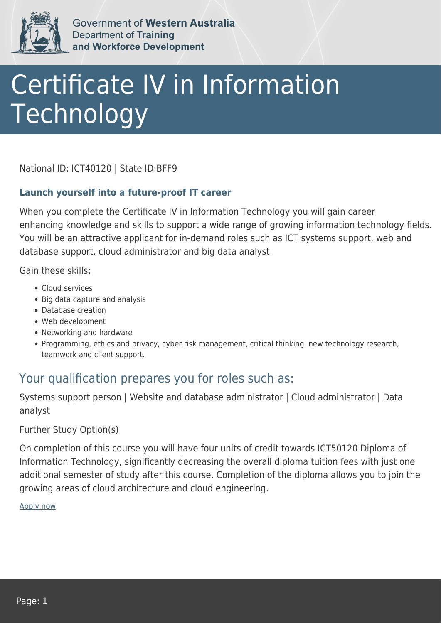

Government of Western Australia **Department of Training** and Workforce Development

## Certificate IV in Information Technology

National ID: ICT40120 | State ID:BFF9

## **Launch yourself into a future-proof IT career**

When you complete the Certificate IV in Information Technology you will gain career enhancing knowledge and skills to support a wide range of growing information technology fields. You will be an attractive applicant for in-demand roles such as ICT systems support, web and database support, cloud administrator and big data analyst.

Gain these skills:

- Cloud services
- Big data capture and analysis
- Database creation
- Web development
- Networking and hardware
- Programming, ethics and privacy, cyber risk management, critical thinking, new technology research, teamwork and client support.

## Your qualification prepares you for roles such as:

Systems support person | Website and database administrator | Cloud administrator | Data analyst

Further Study Option(s)

On completion of this course you will have four units of credit towards ICT50120 Diploma of Information Technology, significantly decreasing the overall diploma tuition fees with just one additional semester of study after this course. Completion of the diploma allows you to join the growing areas of cloud architecture and cloud engineering.

[Apply now](https://tasonline.tafe.wa.edu.au/Default.aspx)